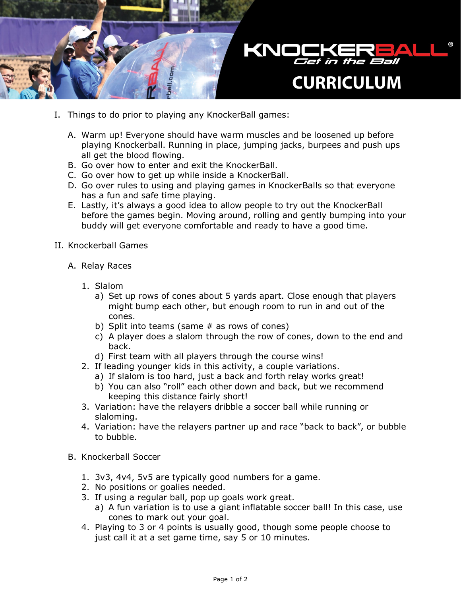

- I. Things to do prior to playing any KnockerBall games:
	- A. Warm up! Everyone should have warm muscles and be loosened up before playing Knockerball. Running in place, jumping jacks, burpees and push ups all get the blood flowing.
	- B. Go over how to enter and exit the KnockerBall.
	- C. Go over how to get up while inside a KnockerBall.
	- D. Go over rules to using and playing games in KnockerBalls so that everyone has a fun and safe time playing.
	- E. Lastly, it's always a good idea to allow people to try out the KnockerBall before the games begin. Moving around, rolling and gently bumping into your buddy will get everyone comfortable and ready to have a good time.
- II. Knockerball Games
	- A. Relay Races
		- 1. Slalom
			- a) Set up rows of cones about 5 yards apart. Close enough that players might bump each other, but enough room to run in and out of the cones.
			- b) Split into teams (same # as rows of cones)
			- c) A player does a slalom through the row of cones, down to the end and back.
			- d) First team with all players through the course wins!
		- 2. If leading younger kids in this activity, a couple variations.
			- a) If slalom is too hard, just a back and forth relay works great!
			- b) You can also "roll" each other down and back, but we recommend keeping this distance fairly short!
		- 3. Variation: have the relayers dribble a soccer ball while running or slaloming.
		- 4. Variation: have the relayers partner up and race "back to back", or bubble to bubble.
	- B. Knockerball Soccer
		- 1. 3v3, 4v4, 5v5 are typically good numbers for a game.
		- 2. No positions or goalies needed.
		- 3. If using a regular ball, pop up goals work great.
			- a) A fun variation is to use a giant inflatable soccer ball! In this case, use cones to mark out your goal.
		- 4. Playing to 3 or 4 points is usually good, though some people choose to just call it at a set game time, say 5 or 10 minutes.